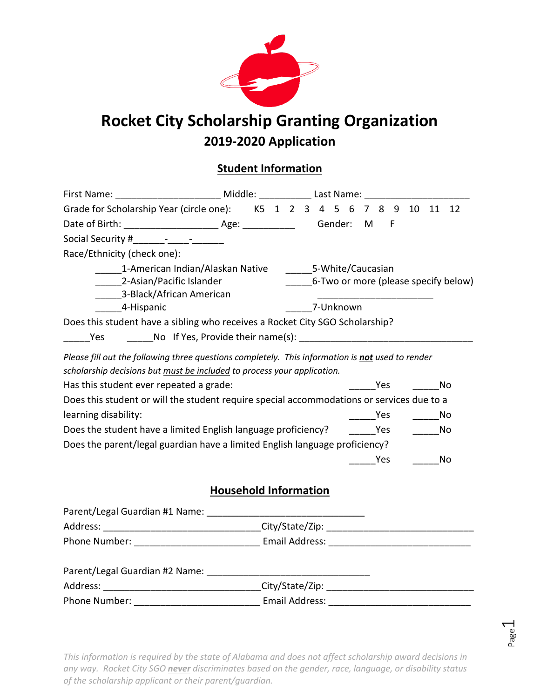

# **Rocket City Scholarship Granting Organization 2019-2020 Application**

## **Student Information**

| First Name: ___________________________ Middle: ______________ Last Name: __________________________                                                                                                                                                                                                                                        |                              |                 |  |           |                     |                     |                   |                             |                                      |
|---------------------------------------------------------------------------------------------------------------------------------------------------------------------------------------------------------------------------------------------------------------------------------------------------------------------------------------------|------------------------------|-----------------|--|-----------|---------------------|---------------------|-------------------|-----------------------------|--------------------------------------|
| Grade for Scholarship Year (circle one): K5 1 2 3 4 5 6 7 8 9 10 11 12                                                                                                                                                                                                                                                                      |                              |                 |  |           |                     |                     |                   |                             |                                      |
|                                                                                                                                                                                                                                                                                                                                             |                              |                 |  |           |                     |                     |                   |                             |                                      |
| Social Security # The Research Social Security # The Research Security # The Research Security # The Research S                                                                                                                                                                                                                             |                              |                 |  |           |                     |                     |                   |                             |                                      |
| Race/Ethnicity (check one):                                                                                                                                                                                                                                                                                                                 |                              |                 |  |           |                     |                     |                   |                             |                                      |
| 1-American Indian/Alaskan Native 5-White/Caucasian                                                                                                                                                                                                                                                                                          |                              |                 |  |           |                     |                     |                   |                             |                                      |
| 2-Asian/Pacific Islander                                                                                                                                                                                                                                                                                                                    |                              |                 |  |           |                     |                     |                   |                             | 6-Two or more (please specify below) |
| 3-Black/African American                                                                                                                                                                                                                                                                                                                    |                              |                 |  |           |                     |                     |                   |                             |                                      |
| 4-Hispanic                                                                                                                                                                                                                                                                                                                                  |                              |                 |  | 7-Unknown |                     |                     |                   |                             |                                      |
| Does this student have a sibling who receives a Rocket City SGO Scholarship?                                                                                                                                                                                                                                                                |                              |                 |  |           |                     |                     |                   |                             |                                      |
| Yes                                                                                                                                                                                                                                                                                                                                         |                              |                 |  |           |                     |                     |                   |                             |                                      |
| Please fill out the following three questions completely. This information is not used to render<br>scholarship decisions but must be included to process your application.<br>Has this student ever repeated a grade:<br>Does this student or will the student require special accommodations or services due to a<br>learning disability: |                              |                 |  |           | <b>Property Yes</b> |                     | $\frac{1}{1}$ Yes | $\overline{\phantom{0}}$ No | No                                   |
| Does the student have a limited English language proficiency? The Yes                                                                                                                                                                                                                                                                       |                              |                 |  |           |                     |                     |                   | a No                        |                                      |
| Does the parent/legal guardian have a limited English language proficiency?                                                                                                                                                                                                                                                                 |                              |                 |  |           |                     |                     |                   |                             |                                      |
|                                                                                                                                                                                                                                                                                                                                             |                              |                 |  |           |                     | <b>Paragona</b> Yes |                   |                             | No                                   |
|                                                                                                                                                                                                                                                                                                                                             | <b>Household Information</b> |                 |  |           |                     |                     |                   |                             |                                      |
|                                                                                                                                                                                                                                                                                                                                             |                              |                 |  |           |                     |                     |                   |                             |                                      |
| Address: ________________________________City/State/Zip: _______________________                                                                                                                                                                                                                                                            |                              |                 |  |           |                     |                     |                   |                             |                                      |
|                                                                                                                                                                                                                                                                                                                                             |                              |                 |  |           |                     |                     |                   |                             |                                      |
| Parent/Legal Guardian #2 Name:                                                                                                                                                                                                                                                                                                              |                              |                 |  |           |                     |                     |                   |                             |                                      |
| Address:                                                                                                                                                                                                                                                                                                                                    |                              | City/State/Zip: |  |           |                     |                     |                   |                             |                                      |

Phone Number: etc. and a setting the setting of the Email Address:  $\blacksquare$ 

Page  $\overline{\phantom{0}}$ 

*This information is required by the state of Alabama and does not affect scholarship award decisions in any way. Rocket City SGO never discriminates based on the gender, race, language, or disability status of the scholarship applicant or their parent/guardian.*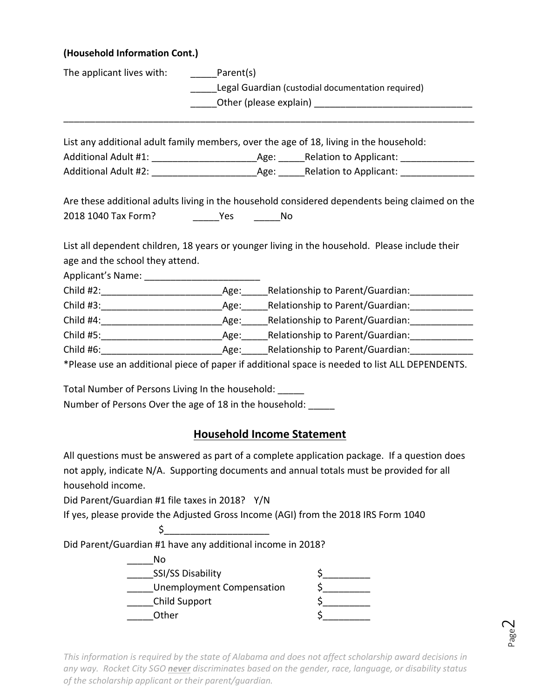#### **(Household Information Cont.)**

| The applicant lives with: _______Parent(s)                   |                                   |  |                                                                                                |  |  |
|--------------------------------------------------------------|-----------------------------------|--|------------------------------------------------------------------------------------------------|--|--|
| Legal Guardian (custodial documentation required)            |                                   |  |                                                                                                |  |  |
|                                                              |                                   |  |                                                                                                |  |  |
|                                                              |                                   |  |                                                                                                |  |  |
|                                                              |                                   |  | List any additional adult family members, over the age of 18, living in the household:         |  |  |
|                                                              |                                   |  |                                                                                                |  |  |
|                                                              |                                   |  |                                                                                                |  |  |
|                                                              |                                   |  | Are these additional adults living in the household considered dependents being claimed on the |  |  |
|                                                              |                                   |  |                                                                                                |  |  |
|                                                              |                                   |  |                                                                                                |  |  |
|                                                              |                                   |  | List all dependent children, 18 years or younger living in the household. Please include their |  |  |
| age and the school they attend.                              |                                   |  |                                                                                                |  |  |
|                                                              |                                   |  |                                                                                                |  |  |
|                                                              |                                   |  |                                                                                                |  |  |
|                                                              |                                   |  |                                                                                                |  |  |
|                                                              |                                   |  |                                                                                                |  |  |
|                                                              |                                   |  |                                                                                                |  |  |
|                                                              |                                   |  |                                                                                                |  |  |
|                                                              |                                   |  | *Please use an additional piece of paper if additional space is needed to list ALL DEPENDENTS. |  |  |
| Total Number of Persons Living In the household:             |                                   |  |                                                                                                |  |  |
| Number of Persons Over the age of 18 in the household: _____ |                                   |  |                                                                                                |  |  |
|                                                              |                                   |  |                                                                                                |  |  |
|                                                              | <b>Household Income Statement</b> |  |                                                                                                |  |  |
|                                                              |                                   |  | All questions must be answered as part of a complete application package. If a question does   |  |  |
|                                                              |                                   |  | not apply, indicate N/A. Supporting documents and annual totals must be provided for all       |  |  |
| household income.                                            |                                   |  |                                                                                                |  |  |
| Did Parent/Guardian #1 file taxes in 2018? Y/N               |                                   |  |                                                                                                |  |  |
|                                                              |                                   |  | If yes, please provide the Adjusted Gross Income (AGI) from the 2018 IRS Form 1040             |  |  |
| \$                                                           |                                   |  |                                                                                                |  |  |
| Did Parent/Guardian #1 have any additional income in 2018?   |                                   |  |                                                                                                |  |  |

| N٥                               |  |
|----------------------------------|--|
| <b>SSI/SS Disability</b>         |  |
| <b>Unemployment Compensation</b> |  |
| Child Support                    |  |
| Other                            |  |

*This information is required by the state of Alabama and does not affect scholarship award decisions in any way. Rocket City SGO never discriminates based on the gender, race, language, or disability status of the scholarship applicant or their parent/guardian.*

Page  $\mathrel{\sim}$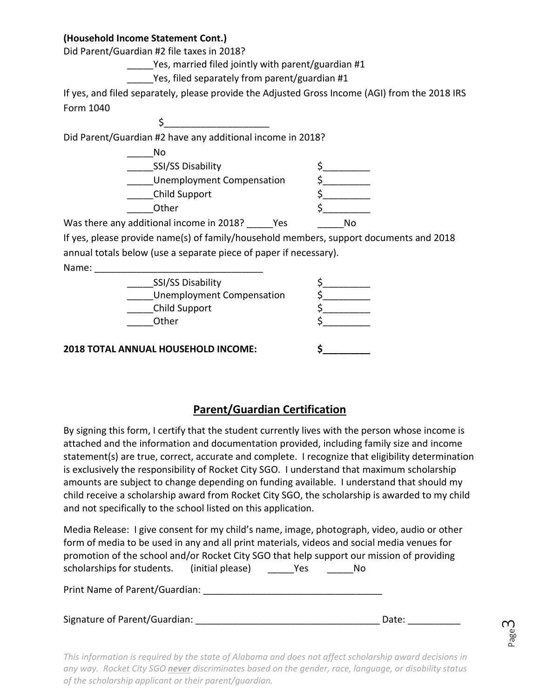#### **(Household Income Statement Cont.)**

Did Parent/Guardian #2 file taxes in 2018?

\_\_\_\_\_Yes, married filed jointly with parent/guardian #1

Yes, filed separately from parent/guardian #1

If yes, and filed separately, please provide the Adjusted Gross Income (AGI) from the 2018 IRS Form 1040

Did Parent/Guardian #2 have any additional income in 2018?

 $\sharp$ 

| No                        |              |
|---------------------------|--------------|
| <b>SSI/SS Disability</b>  |              |
| Unemployment Compensation |              |
| Child Support             |              |
| Other                     |              |
| <b>1.</b>                 | <b>A L</b> – |

Was there any additional income in 2018? Yes No

If yes, please provide name(s) of family/household members, support documents and 2018 annual totals below (use a separate piece of paper if necessary).

Name:

| SSI/SS Disability<br><b>Unemployment Compensation</b> |  |
|-------------------------------------------------------|--|
| Child Support<br>Other                                |  |
| ANNILIAL LIQUICEUQUD INICONAE.                        |  |

**2018 TOTAL ANNUAL HOUSEHOLD INCOME: \$\_\_\_\_\_\_\_\_\_**

### **Parent/Guardian Certification**

By signing this form, I certify that the student currently lives with the person whose income is attached and the information and documentation provided, including family size and income statement(s) are true, correct, accurate and complete. I recognize that eligibility determination is exclusively the responsibility of Rocket City SGO. I understand that maximum scholarship amounts are subject to change depending on funding available. I understand that should my child receive a scholarship award from Rocket City SGO, the scholarship is awarded to my child and not specifically to the school listed on this application.

Media Release: I give consent for my child's name, image, photograph, video, audio or other form of media to be used in any and all print materials, videos and social media venues for promotion of the school and/or Rocket City SGO that help support our mission of providing scholarships for students. (initial please) Yes No

Print Name of Parent/Guardian: \_\_\_\_\_\_\_\_\_\_\_\_\_\_\_\_\_\_\_\_\_\_\_\_\_\_\_\_\_\_\_\_\_\_

| Signature of Parent/Guardian: | Date: |
|-------------------------------|-------|
|-------------------------------|-------|

Page ന

*This information is required by the state of Alabama and does not affect scholarship award decisions in any way. Rocket City SGO never discriminates based on the gender, race, language, or disability status of the scholarship applicant or their parent/guardian.*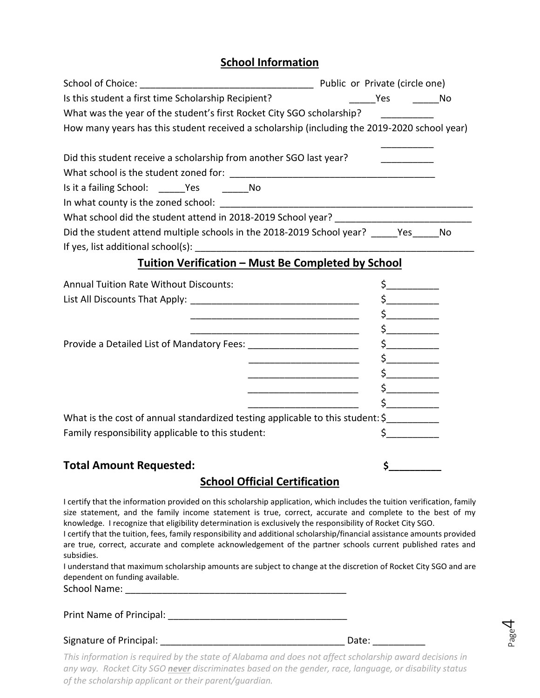#### **School Information**

| Is this student a first time Scholarship Recipient?                                                                   | Yes No                                                                                                                                                                                                                                                                                                                                                                                           |  |
|-----------------------------------------------------------------------------------------------------------------------|--------------------------------------------------------------------------------------------------------------------------------------------------------------------------------------------------------------------------------------------------------------------------------------------------------------------------------------------------------------------------------------------------|--|
| What was the year of the student's first Rocket City SGO scholarship?                                                 |                                                                                                                                                                                                                                                                                                                                                                                                  |  |
| How many years has this student received a scholarship (including the 2019-2020 school year)                          |                                                                                                                                                                                                                                                                                                                                                                                                  |  |
| Did this student receive a scholarship from another SGO last year?                                                    |                                                                                                                                                                                                                                                                                                                                                                                                  |  |
|                                                                                                                       |                                                                                                                                                                                                                                                                                                                                                                                                  |  |
| Is it a failing School: ______Yes _________No                                                                         |                                                                                                                                                                                                                                                                                                                                                                                                  |  |
|                                                                                                                       |                                                                                                                                                                                                                                                                                                                                                                                                  |  |
|                                                                                                                       |                                                                                                                                                                                                                                                                                                                                                                                                  |  |
| Did the student attend multiple schools in the 2018-2019 School year? _____Yes_____No                                 |                                                                                                                                                                                                                                                                                                                                                                                                  |  |
|                                                                                                                       |                                                                                                                                                                                                                                                                                                                                                                                                  |  |
| <b>Tuition Verification - Must Be Completed by School</b>                                                             |                                                                                                                                                                                                                                                                                                                                                                                                  |  |
| <b>Annual Tuition Rate Without Discounts:</b>                                                                         | $\frac{\xi_{\frac{1}{2}}}{\xi_{\frac{1}{2}}}{\xi_{\frac{1}{2}}}{\xi_{\frac{1}{2}}}{\xi_{\frac{1}{2}}}{\xi_{\frac{1}{2}}}{\xi_{\frac{1}{2}}}{\xi_{\frac{1}{2}}}{\xi_{\frac{1}{2}}}{\xi_{\frac{1}{2}}}{\xi_{\frac{1}{2}}}{\xi_{\frac{1}{2}}}{\xi_{\frac{1}{2}}}{\xi_{\frac{1}{2}}}{\xi_{\frac{1}{2}}}{\xi_{\frac{1}{2}}}{\xi_{\frac{1}{2}}}{\xi_{\frac{1}{2}}}{\xi_{\frac{1}{2}}}{\xi_{\frac{1}{2$ |  |
|                                                                                                                       | $\mathsf{s}\_\_\_\_\_\_\_\$                                                                                                                                                                                                                                                                                                                                                                      |  |
|                                                                                                                       |                                                                                                                                                                                                                                                                                                                                                                                                  |  |
|                                                                                                                       | $\frac{1}{2}$                                                                                                                                                                                                                                                                                                                                                                                    |  |
| Provide a Detailed List of Mandatory Fees: ________________________                                                   |                                                                                                                                                                                                                                                                                                                                                                                                  |  |
|                                                                                                                       | $\sharp$                                                                                                                                                                                                                                                                                                                                                                                         |  |
| <u> 1980 - Jan James James Barbara, político establecento de la provincia de la provincia de la provincia de la p</u> | $\mathsf{\$}$                                                                                                                                                                                                                                                                                                                                                                                    |  |
|                                                                                                                       |                                                                                                                                                                                                                                                                                                                                                                                                  |  |
|                                                                                                                       | $\frac{1}{2}$                                                                                                                                                                                                                                                                                                                                                                                    |  |
| What is the cost of annual standardized testing applicable to this student: \$                                        |                                                                                                                                                                                                                                                                                                                                                                                                  |  |
| Family responsibility applicable to this student:                                                                     | $\zeta$                                                                                                                                                                                                                                                                                                                                                                                          |  |
| <b>Total Amount Requested:</b>                                                                                        | $\mathsf{\dot{S}}$                                                                                                                                                                                                                                                                                                                                                                               |  |

### **School Official Certification**

I certify that the information provided on this scholarship application, which includes the tuition verification, family size statement, and the family income statement is true, correct, accurate and complete to the best of my knowledge. I recognize that eligibility determination is exclusively the responsibility of Rocket City SGO.

I certify that the tuition, fees, family responsibility and additional scholarship/financial assistance amounts provided are true, correct, accurate and complete acknowledgement of the partner schools current published rates and subsidies.

I understand that maximum scholarship amounts are subject to change at the discretion of Rocket City SGO and are dependent on funding available.

School Name: \_\_\_\_\_\_\_\_\_\_\_\_\_\_\_\_\_\_\_\_\_\_\_\_\_\_\_\_\_\_\_\_\_\_\_\_\_\_\_\_\_\_

| Print Name of Principal: |  |
|--------------------------|--|
|--------------------------|--|

Signature of Principal: \_\_\_\_\_\_\_\_\_\_\_\_\_\_\_\_\_\_\_\_\_\_\_\_\_\_\_\_\_\_\_\_\_\_\_ Date: \_\_\_\_\_\_\_\_\_\_

*This information is required by the state of Alabama and does not affect scholarship award decisions in any way. Rocket City SGO never discriminates based on the gender, race, language, or disability status of the scholarship applicant or their parent/guardian.*

Page 4